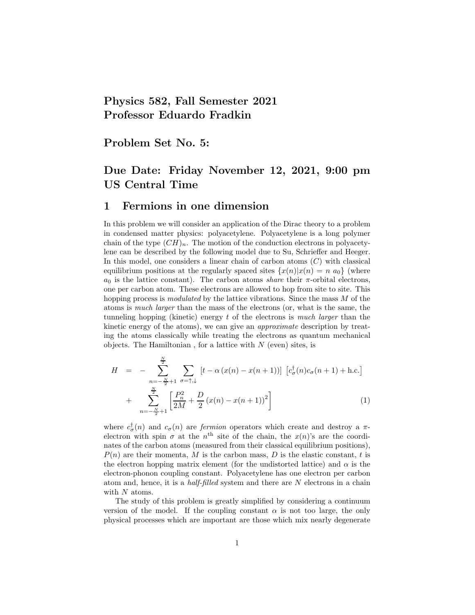# Physics 582, Fall Semester 2021 Professor Eduardo Fradkin

Problem Set No. 5:

# Due Date: Friday November 12, 2021, 9:00 pm US Central Time

### 1 Fermions in one dimension

In this problem we will consider an application of the Dirac theory to a problem in condensed matter physics: polyacetylene. Polyacetylene is a long polymer chain of the type  $(CH)_n$ . The motion of the conduction electrons in polyacetylene can be described by the following model due to Su, Schrieffer and Heeger. In this model, one considers a linear chain of carbon atoms  $(C)$  with classical equilibrium positions at the regularly spaced sites  $\{x(n)|x(n) = n\}$  (where  $a_0$  is the lattice constant). The carbon atoms *share* their  $\pi$ -orbital electrons, one per carbon atom. These electrons are allowed to hop from site to site. This hopping process is *modulated* by the lattice vibrations. Since the mass M of the atoms is much larger than the mass of the electrons (or, what is the same, the tunneling hopping (kinetic) energy  $t$  of the electrons is *much larger* than the kinetic energy of the atoms), we can give an approximate description by treating the atoms classically while treating the electrons as quantum mechanical objects. The Hamiltonian, for a lattice with  $N$  (even) sites, is

$$
H = -\sum_{n=-\frac{N}{2}+1}^{\frac{N}{2}} \sum_{\sigma=\uparrow,\downarrow} [t - \alpha (x(n) - x(n+1))] [c_{\sigma}^{\dagger}(n)c_{\sigma}(n+1) + \text{h.c.}]
$$
  
+ 
$$
\sum_{n=-\frac{N}{2}+1}^{\frac{N}{2}} \left[ \frac{P_n^2}{2M} + \frac{D}{2} (x(n) - x(n+1))^2 \right]
$$
(1)

where  $c^{\dagger}_{\sigma}(n)$  and  $c_{\sigma}(n)$  are *fermion* operators which create and destroy a  $\pi$ electron with spin  $\sigma$  at the  $n^{\text{th}}$  site of the chain, the  $x(n)$ 's are the coordinates of the carbon atoms (measured from their classical equilibrium positions),  $P(n)$  are their momenta, M is the carbon mass, D is the elastic constant, t is the electron hopping matrix element (for the undistorted lattice) and  $\alpha$  is the electron-phonon coupling constant. Polyacetylene has one electron per carbon atom and, hence, it is a half-filled system and there are N electrons in a chain with  $N$  atoms.

The study of this problem is greatly simplified by considering a continuum version of the model. If the coupling constant  $\alpha$  is not too large, the only physical processes which are important are those which mix nearly degenerate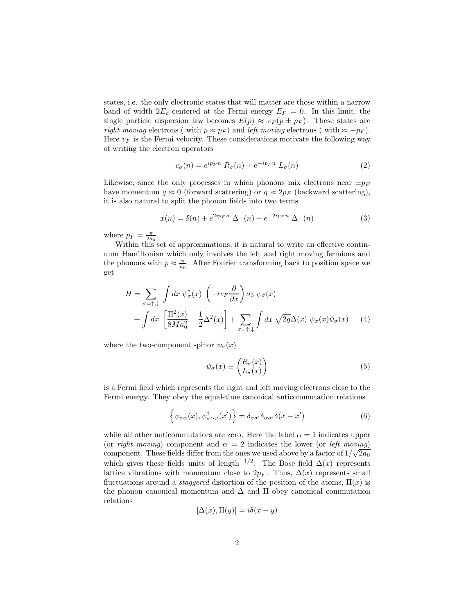states, i.e. the only electronic states that will matter are those within a narrow band of width  $2E_c$  centered at the Fermi energy  $E_F = 0$ . In this limit, the single particle dispersion law becomes  $E(p) \approx v_F(p \pm p_F)$ . These states are right moving electrons ( with  $p \approx p_F$ ) and left moving electrons ( with  $\approx -p_F$ ). Here  $v_F$  is the Fermi velocity. These considerations motivate the following way of writing the electron operators

$$
c_{\sigma}(n) = e^{ip_{F}n} R_{\sigma}(n) + e^{-ip_{F}n} L_{\sigma}(n)
$$
\n(2)

Likewise, since the only processes in which phonons mix electrons near  $\pm p_F$ have momentum  $q \approx 0$  (forward scattering) or  $q \approx 2p_F$  (backward scattering), it is also natural to split the phonon fields into two terms

$$
x(n) = \delta(n) + e^{2ip_F n} \Delta_+(n) + e^{-2ip_F n} \Delta_-(n)
$$
 (3)

where  $p_F = \frac{\pi}{2a_0}$ .

Within this set of approximations, it is natural to write an effective continuum Hamiltonian which only involves the left and right moving fermions and the phonons with  $p \approx \frac{\pi}{a_0}$ . After Fourier transforming back to position space we get

$$
H = \sum_{\sigma = \uparrow, \downarrow} \int dx \, \psi_{\sigma}^{\dagger}(x) \, \left( -i v_F \frac{\partial}{\partial x} \right) \sigma_3 \, \psi_{\sigma}(x) + \int dx \, \left[ \frac{\Pi^2(x)}{8Ma_0^2} + \frac{1}{2} \Delta^2(x) \right] + \sum_{\sigma = \uparrow, \downarrow} \int dx \, \sqrt{2g} \Delta(x) \, \bar{\psi}_{\sigma}(x) \psi_{\sigma}(x) \tag{4}
$$

where the two-component spinor  $\psi_{\sigma}(x)$ 

$$
\psi_{\sigma}(x) \equiv \begin{pmatrix} R_{\sigma}(x) \\ L_{\sigma}(x) \end{pmatrix} \tag{5}
$$

is a Fermi field which represents the right and left moving electrons close to the Fermi energy. They obey the equal-time canonical anticommutation relations

$$
\left\{\psi_{\sigma\alpha}(x),\psi_{\sigma'\alpha'}^{\dagger}(x')\right\} = \delta_{\sigma\sigma'}\delta_{\alpha\alpha'}\delta(x-x')
$$
\n(6)

while all other anticommutators are zero. Here the label  $\alpha = 1$  indicates upper (or right moving) component and  $\alpha = 2$  indicates the lower (or left moving) component. These fields differ from the ones we used above by a factor of  $1/\sqrt{2a_0}$ which gives these fields units of length<sup>-1/2</sup>. The Bose field  $\Delta(x)$  represents lattice vibrations with momentum close to  $2p_F$ . Thus,  $\Delta(x)$  represents small fluctuations around a *staggered* distortion of the position of the atoms,  $\Pi(x)$  is the phonon canonical momentum and  $\Delta$  and  $\Pi$  obey canonical commutation relations

$$
[\Delta(x), \Pi(y)] = i\delta(x - y)
$$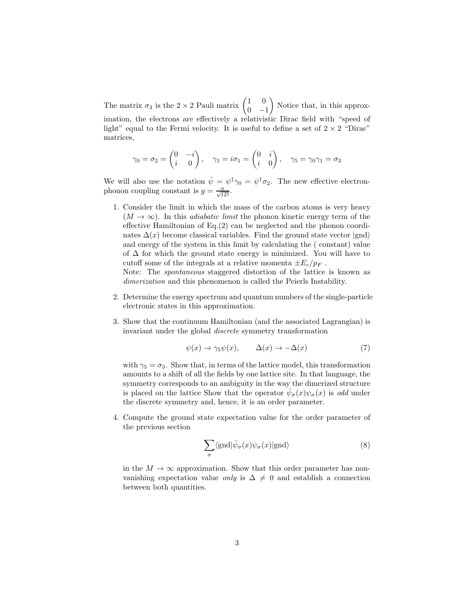The matrix  $\sigma_3$  is the 2 × 2 Pauli matrix  $\begin{pmatrix} 1 & 0 \\ 0 & -1 \end{pmatrix}$  $\begin{matrix}0 & -1\end{matrix}$  Notice that, in this approximation, the electrons are effectively a relativistic Dirac field with "speed of light" equal to the Fermi velocity. It is useful to define a set of  $2 \times 2$  "Dirac" matrices,

$$
\gamma_0 = \sigma_2 = \begin{pmatrix} 0 & -i \\ i & 0 \end{pmatrix}, \quad \gamma_1 = i\sigma_1 = \begin{pmatrix} 0 & i \\ i & 0 \end{pmatrix}, \quad \gamma_5 = \gamma_0 \gamma_1 = \sigma_3
$$

We will also use the notation  $\bar{\psi} = \psi^{\dagger} \gamma_0 = \psi^{\dagger} \sigma_2$ . The new effective electronphonon coupling constant is  $g = \frac{\alpha}{\sqrt{tD}}$ .

1. Consider the limit in which the mass of the carbon atoms is very heavy  $(M \to \infty)$ . In this *adiabatic limit* the phonon kinetic energy term of the effective Hamiltonian of Eq.(2) can be neglected and the phonon coordinates  $\Delta(x)$  become classical variables. Find the ground state vector  $|gnd\rangle$ and energy of the system in this limit by calculating the ( constant) value of  $\Delta$  for which the ground state energy is minimized. You will have to cutoff some of the integrals at a relative momenta  $\pm E_c/p_F$ .

Note: The spontaneous staggered distortion of the lattice is known as dimerization and this phenomenon is called the Peierls Instability.

- 2. Determine the energy spectrum and quantum numbers of the single-particle electronic states in this approximation.
- 3. Show that the continuum Hamiltonian (and the associated Lagrangian) is invariant under the global discrete symmetry transformation

$$
\psi(x) \to \gamma_5 \psi(x), \qquad \Delta(x) \to -\Delta(x) \tag{7}
$$

with  $\gamma_5 = \sigma_3$ . Show that, in terms of the lattice model, this transformation amounts to a shift of all the fields by one lattice site. In that language, the symmetry corresponds to an ambiguity in the way the dimerized structure is placed on the lattice Show that the operator  $\bar{\psi}_{\sigma}(x)\psi_{\sigma}(x)$  is *odd* under the discrete symmetry and, hence, it is an order parameter.

4. Compute the ground state expectation value for the order parameter of the previous section

$$
\sum_{\sigma} \langle \text{gnd} | \bar{\psi}_{\sigma}(x) \psi_{\sigma}(x) | \text{gnd} \rangle \tag{8}
$$

in the  $M \to \infty$  approximation. Show that this order parameter has nonvanishing expectation value *only* is  $\Delta \neq 0$  and establish a connection between both quantities.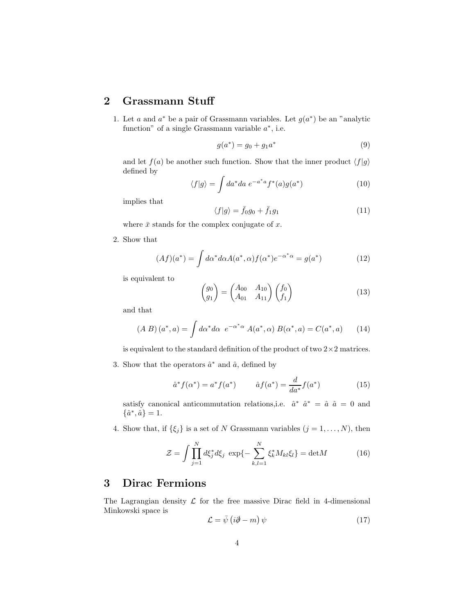## 2 Grassmann Stuff

1. Let a and  $a^*$  be a pair of Grassmann variables. Let  $g(a^*)$  be an "analytic function" of a single Grassmann variable  $a^*$ , i.e.

$$
g(a^*) = g_0 + g_1 a^* \tag{9}
$$

and let  $f(a)$  be another such function. Show that the inner product  $\langle f|g\rangle$ defined by

$$
\langle f|g\rangle = \int da^* da \ e^{-a^*a} f^*(a) g(a^*) \tag{10}
$$

implies that

$$
\langle f|g\rangle = \bar{f}_0 g_0 + \bar{f}_1 g_1 \tag{11}
$$

where  $\bar{x}$  stands for the complex conjugate of  $x$ .

2. Show that

$$
(Af)(a^*) = \int d\alpha^* d\alpha A(a^*, \alpha) f(\alpha^*) e^{-\alpha^* \alpha} = g(a^*)
$$
\n(12)

is equivalent to

$$
\begin{pmatrix} g_0 \\ g_1 \end{pmatrix} = \begin{pmatrix} A_{00} & A_{10} \\ A_{01} & A_{11} \end{pmatrix} \begin{pmatrix} f_0 \\ f_1 \end{pmatrix} \tag{13}
$$

and that

$$
(A \ B) (a^*, a) = \int d\alpha^* d\alpha \ e^{-\alpha^* \alpha} A(a^*, \alpha) B(\alpha^*, a) = C(a^*, a)
$$
 (14)

is equivalent to the standard definition of the product of two  $2 \times 2$  matrices.

3. Show that the operators  $\hat{a}^*$  and  $\hat{a}$ , defined by

$$
\hat{a}^* f(\alpha^*) = a^* f(a^*) \qquad \hat{a} f(a^*) = \frac{d}{da^*} f(a^*) \tag{15}
$$

satisfy canonical anticommutation relations, i.e.  $\hat{a}^* \hat{a}^* = \hat{a} \hat{a} = 0$  and  $\{\hat{a}^*, \hat{a}\} = 1.$ 

4. Show that, if  $\{\xi_j\}$  is a set of N Grassmann variables  $(j = 1, ..., N)$ , then

$$
\mathcal{Z} = \int \prod_{j=1}^{N} d\xi_j^* d\xi_j \exp\{-\sum_{k,l=1}^{N} \xi_k^* M_{kl} \xi_l\} = \det M \tag{16}
$$

### 3 Dirac Fermions

The Lagrangian density  $\mathcal L$  for the free massive Dirac field in 4-dimensional Minkowski space is

$$
\mathcal{L} = \bar{\psi} \left( i \partial \!\!\! / - m \right) \psi \tag{17}
$$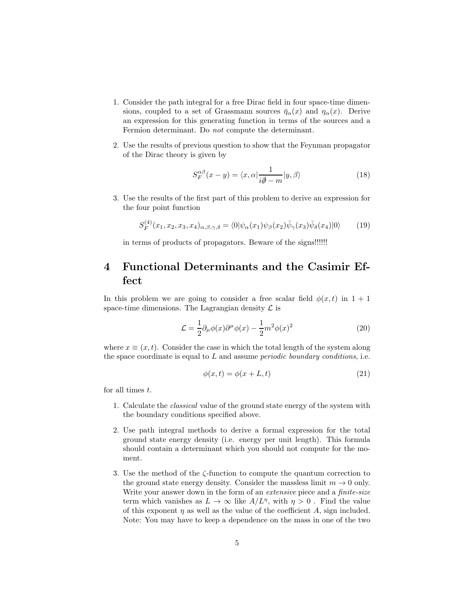- 1. Consider the path integral for a free Dirac field in four space-time dimensions, coupled to a set of Grassmann sources  $\bar{\eta}_{\alpha}(x)$  and  $\eta_{\alpha}(x)$ . Derive an expression for this generating function in terms of the sources and a Fermion determinant. Do not compute the determinant.
- 2. Use the results of previous question to show that the Feynman propagator of the Dirac theory is given by

$$
S_F^{\alpha\beta}(x-y) = \langle x, \alpha | \frac{1}{i\partial - m} | y, \beta \rangle \tag{18}
$$

3. Use the results of the first part of this problem to derive an expression for the four point function

$$
S_F^{(4)}(x_1, x_2, x_3, x_4)_{\alpha, \beta, \gamma, \delta} = \langle 0 | \psi_\alpha(x_1) \psi_\beta(x_2) \bar{\psi}_\gamma(x_3) \bar{\psi}_\delta(x_4) | 0 \rangle \tag{19}
$$

in terms of products of propagators. Beware of the signs!!!!!!

# 4 Functional Determinants and the Casimir Effect

In this problem we are going to consider a free scalar field  $\phi(x, t)$  in  $1 + 1$ space-time dimensions. The Lagrangian density  $\mathcal L$  is

$$
\mathcal{L} = \frac{1}{2} \partial_{\mu} \phi(x) \partial^{\mu} \phi(x) - \frac{1}{2} m^2 \phi(x)^2 \tag{20}
$$

where  $x \equiv (x, t)$ . Consider the case in which the total length of the system along the space coordinate is equal to  $L$  and assume *periodic boundary conditions*, i.e.

$$
\phi(x,t) = \phi(x+L,t) \tag{21}
$$

for all times t.

- 1. Calculate the classical value of the ground state energy of the system with the boundary conditions specified above.
- 2. Use path integral methods to derive a formal expression for the total ground state energy density (i.e. energy per unit length). This formula should contain a determinant which you should not compute for the moment.
- 3. Use the method of the ζ-function to compute the quantum correction to the ground state energy density. Consider the massless limit  $m \to 0$  only. Write your answer down in the form of an *extensive* piece and a *finite-size* term which vanishes as  $L \to \infty$  like  $A/L^{\eta}$ , with  $\eta > 0$ . Find the value of this exponent  $\eta$  as well as the value of the coefficient A, sign included. Note: You may have to keep a dependence on the mass in one of the two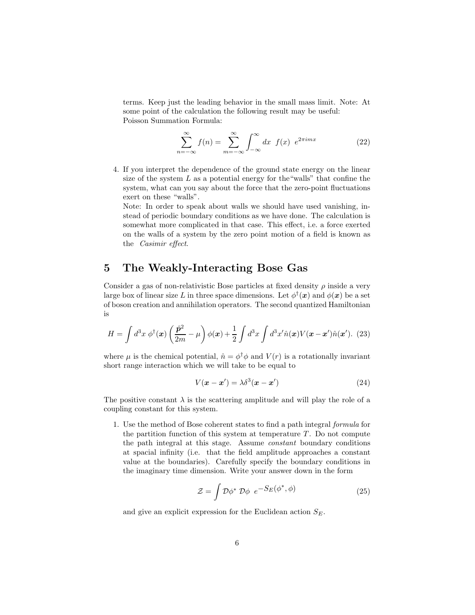terms. Keep just the leading behavior in the small mass limit. Note: At some point of the calculation the following result may be useful: Poisson Summation Formula:

$$
\sum_{n=-\infty}^{\infty} f(n) = \sum_{m=-\infty}^{\infty} \int_{-\infty}^{\infty} dx \ f(x) e^{2\pi imx}
$$
 (22)

4. If you interpret the dependence of the ground state energy on the linear size of the system  $L$  as a potential energy for the "walls" that confine the system, what can you say about the force that the zero-point fluctuations exert on these "walls".

Note: In order to speak about walls we should have used vanishing, instead of periodic boundary conditions as we have done. The calculation is somewhat more complicated in that case. This effect, i.e. a force exerted on the walls of a system by the zero point motion of a field is known as the Casimir effect.

### 5 The Weakly-Interacting Bose Gas

Consider a gas of non-relativistic Bose particles at fixed density  $\rho$  inside a very large box of linear size L in three space dimensions. Let  $\phi^{\dagger}(\bm{x})$  and  $\phi(\bm{x})$  be a set of boson creation and annihilation operators. The second quantized Hamiltonian is

$$
H = \int d^3x \, \phi^\dagger(\mathbf{x}) \left(\frac{\hat{\mathbf{p}}^2}{2m} - \mu\right) \phi(\mathbf{x}) + \frac{1}{2} \int d^3x \int d^3x' \hat{n}(\mathbf{x}) V(\mathbf{x} - \mathbf{x}') \hat{n}(\mathbf{x}'). \tag{23}
$$

where  $\mu$  is the chemical potential,  $\hat{n} = \phi^{\dagger} \phi$  and  $V(r)$  is a rotationally invariant short range interaction which we will take to be equal to

$$
V(\mathbf{x} - \mathbf{x}') = \lambda \delta^3(\mathbf{x} - \mathbf{x}')
$$
 (24)

The positive constant  $\lambda$  is the scattering amplitude and will play the role of a coupling constant for this system.

1. Use the method of Bose coherent states to find a path integral formula for the partition function of this system at temperature  $T$ . Do not compute the path integral at this stage. Assume constant boundary conditions at spacial infinity (i.e. that the field amplitude approaches a constant value at the boundaries). Carefully specify the boundary conditions in the imaginary time dimension. Write your answer down in the form

$$
\mathcal{Z} = \int \mathcal{D}\phi^* \, \mathcal{D}\phi \, e^{-S_E(\phi^*, \phi)} \tag{25}
$$

and give an explicit expression for the Euclidean action  $S_E$ .